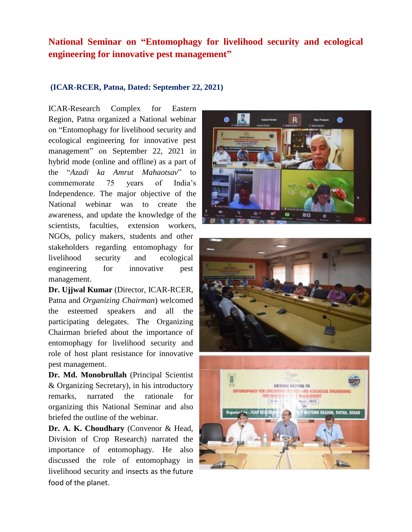## **National Seminar on "Entomophagy for livelihood security and ecological engineering for innovative pest management"**

## **(ICAR-RCER, Patna, Dated: September 22, 2021)**

ICAR-Research Complex for Eastern Region, Patna organized a National webinar on "Entomophagy for livelihood security and ecological engineering for innovative pest management" on September 22, 2021 in hybrid mode (online and offline) as a part of the "*Azadi ka Amrut Mahaotsav*" to commemorate 75 years of India's Independence. The major objective of the National webinar was to create the awareness, and update the knowledge of the scientists, faculties, extension workers, NGOs, policy makers, students and other stakeholders regarding entomophagy for livelihood security and ecological engineering for innovative pest management.

**Dr. Ujjwal Kumar** (Director, ICAR-RCER, Patna and *Organizing Chairman*) welcomed the esteemed speakers and all the participating delegates. The Organizing Chairman briefed about the importance of entomophagy for livelihood security and role of host plant resistance for innovative pest management.

**Dr. Md. Monobrullah** (Principal Scientist & Organizing Secretary), in his introductory remarks, narrated the rationale for organizing this National Seminar and also briefed the outline of the webinar.

**Dr. A. K. Choudhary** (Convenor & Head, Division of Crop Research) narrated the importance of entomophagy. He also discussed the role of entomophagy in livelihood security and insects as the [future](https://library.wur.nl/WebQuery/wurpubs/fulltext/258042)  [food of the planet.](https://library.wur.nl/WebQuery/wurpubs/fulltext/258042)